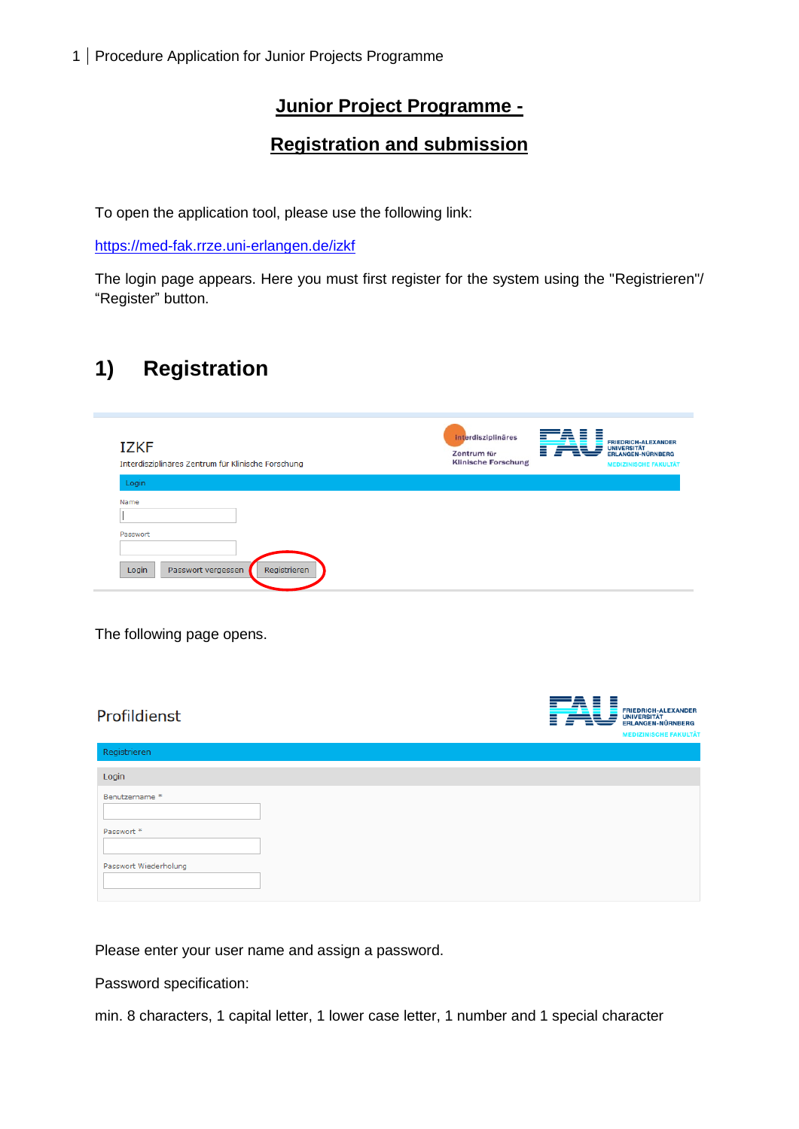## **Junior Project Programme -**

## **Registration and submission**

To open the application tool, please use the following link:

<https://med-fak.rrze.uni-erlangen.de/izkf>

The login page appears. Here you must first register for the system using the "Registrieren"/ "Register" button.

# **1) Registration**

| <b>IZKF</b><br>Interdisziplinäres Zentrum für Klinische Forschung | interdisziplinäres<br>Zentrum für<br><b>Klinische Forschung</b> | ≡ | <b>FRIEDRICH-ALEXANDER</b><br><b>UNIVERSITÄT</b><br><b>ERLANGEN-NÜRNBERG</b><br><b>MEDIZINISCHE FAKULTÄT</b> |
|-------------------------------------------------------------------|-----------------------------------------------------------------|---|--------------------------------------------------------------------------------------------------------------|
| Login                                                             |                                                                 |   |                                                                                                              |
| Name<br>Passwort<br>Login<br>Registrieren<br>Passwort vergessen   |                                                                 |   |                                                                                                              |

The following page opens.

| Profildienst          | ≣<br>= | <b>FRIEDRICH-ALEXANDER</b><br>UNIVERSITÄT<br>ERLANGEN-NÜRNBERG<br><b>MEDIZINISCHE FAKULTÄT</b> |
|-----------------------|--------|------------------------------------------------------------------------------------------------|
| Registrieren          |        |                                                                                                |
| Login                 |        |                                                                                                |
| Benutzername*         |        |                                                                                                |
| Passwort *            |        |                                                                                                |
| Passwort Wiederholung |        |                                                                                                |

Please enter your user name and assign a password.

Password specification:

min. 8 characters, 1 capital letter, 1 lower case letter, 1 number and 1 special character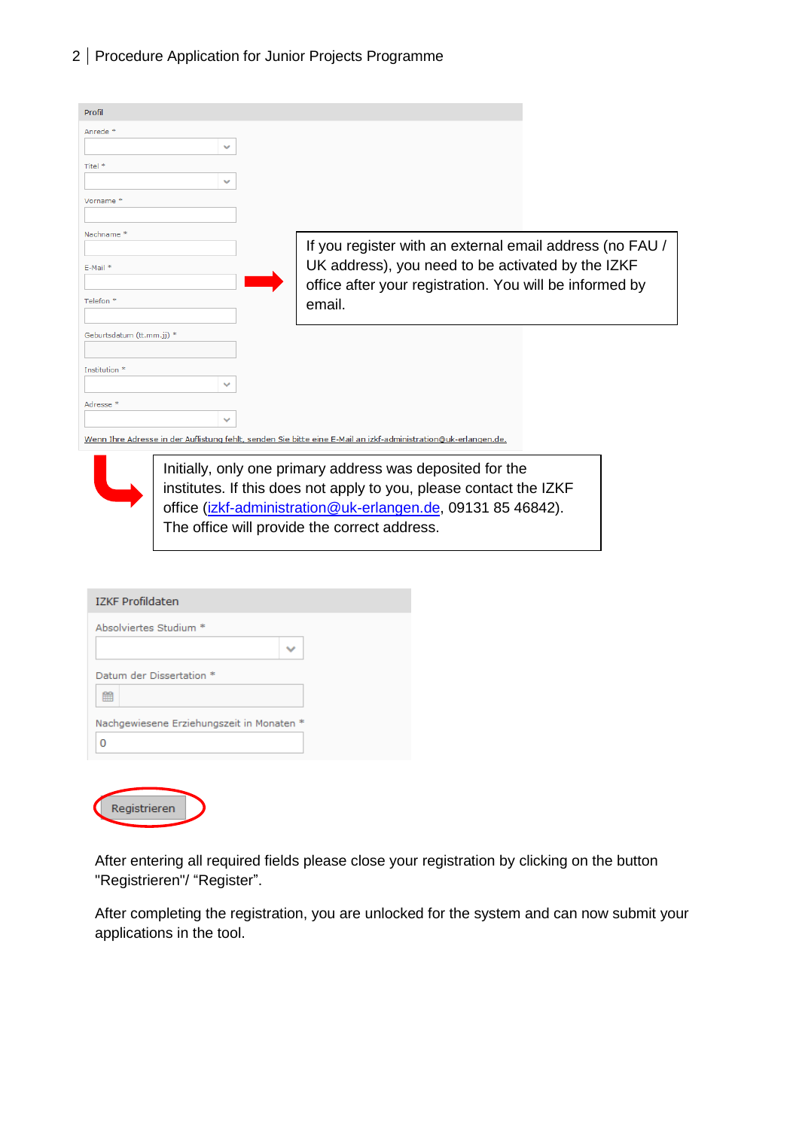| 2   Procedure Application for Junior Projects Programme |  |  |
|---------------------------------------------------------|--|--|
|                                                         |  |  |

| Profil                            |              |                                                                                                                |  |
|-----------------------------------|--------------|----------------------------------------------------------------------------------------------------------------|--|
| Anrede*                           | $\checkmark$ |                                                                                                                |  |
| Titel *                           | $\checkmark$ |                                                                                                                |  |
| Vorname <sup>*</sup>              |              |                                                                                                                |  |
| Nachname <sup>*</sup><br>E-Mail * |              | If you register with an external email address (no FAU /<br>UK address), you need to be activated by the IZKF  |  |
| Telefon <sup>*</sup>              |              | office after your registration. You will be informed by<br>email.                                              |  |
| Geburtsdatum (tt.mm.jj) *         |              |                                                                                                                |  |
| Institution <sup>*</sup>          |              |                                                                                                                |  |
|                                   | $\checkmark$ |                                                                                                                |  |
| Adresse *                         | $\checkmark$ |                                                                                                                |  |
|                                   |              | Wenn Ihre Adresse in der Auflistung fehlt, senden Sie bitte eine E-Mail an izkf-administration@uk-erlangen.de. |  |



Registrieren

Initially, only one primary address was deposited for the institutes. If this does not apply to you, please contact the IZKF office [\(izkf-administration@uk-erlangen.de,](mailto:izkf-administration@uk-erlangen.de) 09131 85 46842). The office will provide the correct address.

| <b>IZKF Profildaten</b>                   |  |
|-------------------------------------------|--|
| Absolviertes Studium *                    |  |
|                                           |  |
| Datum der Dissertation *                  |  |
| 鱛                                         |  |
| Nachgewiesene Erziehungszeit in Monaten * |  |
| O                                         |  |
|                                           |  |

After entering all required fields please close your registration by clicking on the button "Registrieren"/ "Register".

After completing the registration, you are unlocked for the system and can now submit your applications in the tool.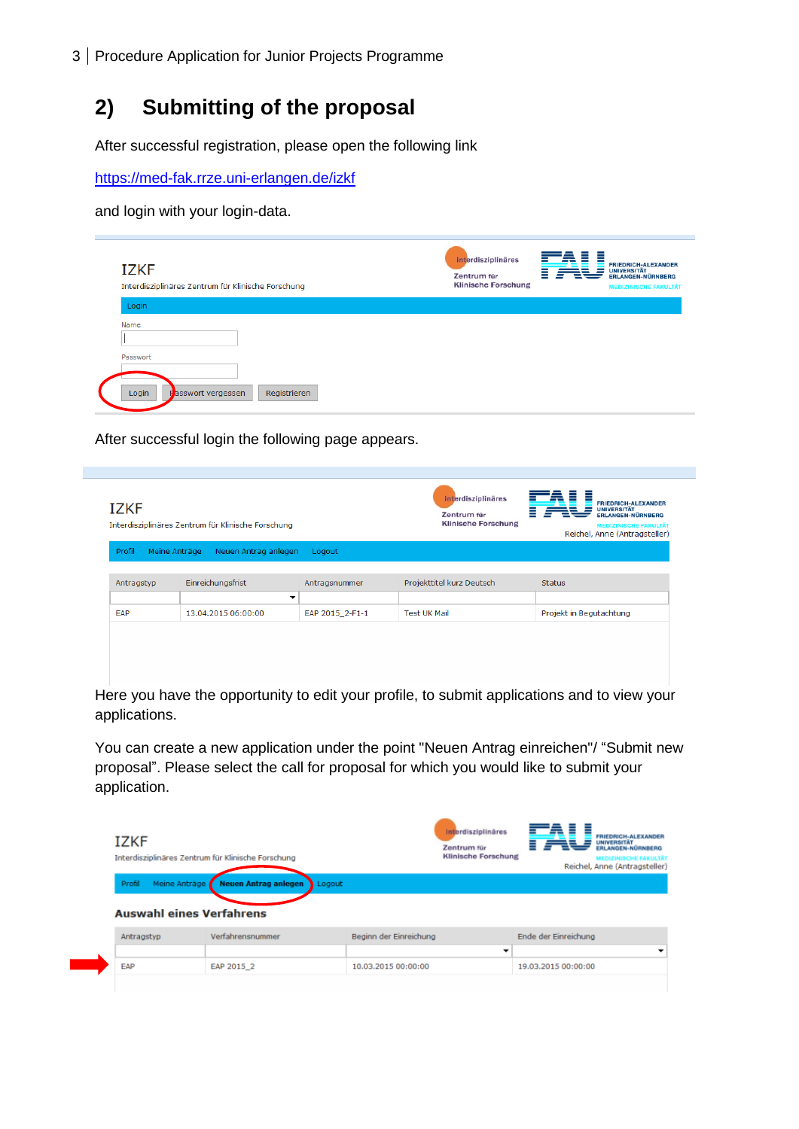# **2) Submitting of the proposal**

After successful registration, please open the following link

<https://med-fak.rrze.uni-erlangen.de/izkf>

and login with your login-data.

| <b>IZKF</b><br>Interdisziplinäres Zentrum für Klinische Forschung        | interdisziplinäres<br><b>FRIEDRICH-ALEXANDER</b><br><b>UNIVERSITÄT</b><br>=<br>Zentrum für<br><b>ERLANGEN-NÜRNBERG</b><br><b>Klinische Forschung</b><br><b>MEDIZINISCHE FAKULTÄT</b> |
|--------------------------------------------------------------------------|--------------------------------------------------------------------------------------------------------------------------------------------------------------------------------------|
| Login<br>Name<br>Passwort<br>Login<br>Registrieren<br>Passwort vergessen |                                                                                                                                                                                      |

After successful login the following page appears.

| <b>IZKF</b>             | Interdisziplinäres Zentrum für Klinische Forschung |                 | interdisziplinäres<br>Zentrum für<br><b>Klinische Forschung</b> | <b>FRIEDRICH-ALEXANDER</b><br><b>UNIVERSITÄT</b><br><b>ERLANGEN-NÜRNBERG</b><br><b>MEDIZINISCHE FAKULTÄT</b><br>Reichel, Anne (Antragsteller) |
|-------------------------|----------------------------------------------------|-----------------|-----------------------------------------------------------------|-----------------------------------------------------------------------------------------------------------------------------------------------|
| Profil<br>Meine Anträge | Neuen Antrag anlegen                               | Logout          |                                                                 |                                                                                                                                               |
| Antragstyp              | Einreichungsfrist                                  | Antragsnummer   | Projekttitel kurz Deutsch                                       | <b>Status</b>                                                                                                                                 |
|                         | ▼                                                  |                 |                                                                 |                                                                                                                                               |
| EAP                     | 13.04.2015 06:00:00                                | EAP 2015_2-F1-1 | <b>Test UK Mail</b>                                             | Projekt in Begutachtung                                                                                                                       |
|                         |                                                    |                 |                                                                 |                                                                                                                                               |
|                         |                                                    |                 |                                                                 | Here you have the opportunity to edit your profile, to submit applications and to view your                                                   |

applications.

You can create a new application under the point "Neuen Antrag einreichen"/ "Submit new proposal". Please select the call for proposal for which you would like to submit your application.

| <b>IZKF</b> | Interdisziplinäres Zentrum für Klinische Forschung |                        | interdisziplinäres<br>Zentrum für<br><b>Klinische Forschung</b> | <b>FRIEDRICH-ALEXANDER</b><br><b>UNIVERSITÄT</b><br><b>FRI ANGEN-NÜRNBERG</b><br><b>MEDIZINISCHE FAKULTÄT</b><br>Reichel, Anne (Antragsteller) |
|-------------|----------------------------------------------------|------------------------|-----------------------------------------------------------------|------------------------------------------------------------------------------------------------------------------------------------------------|
| Profil      | Meine Anträge / Neuen Antrag anlegen               | Logout                 |                                                                 |                                                                                                                                                |
|             |                                                    |                        |                                                                 |                                                                                                                                                |
|             | <b>Auswahl eines Verfahrens</b>                    |                        |                                                                 |                                                                                                                                                |
| Antragstyp  | Verfahrensnummer                                   | Beginn der Einreichung | -                                                               | Ende der Einreichung                                                                                                                           |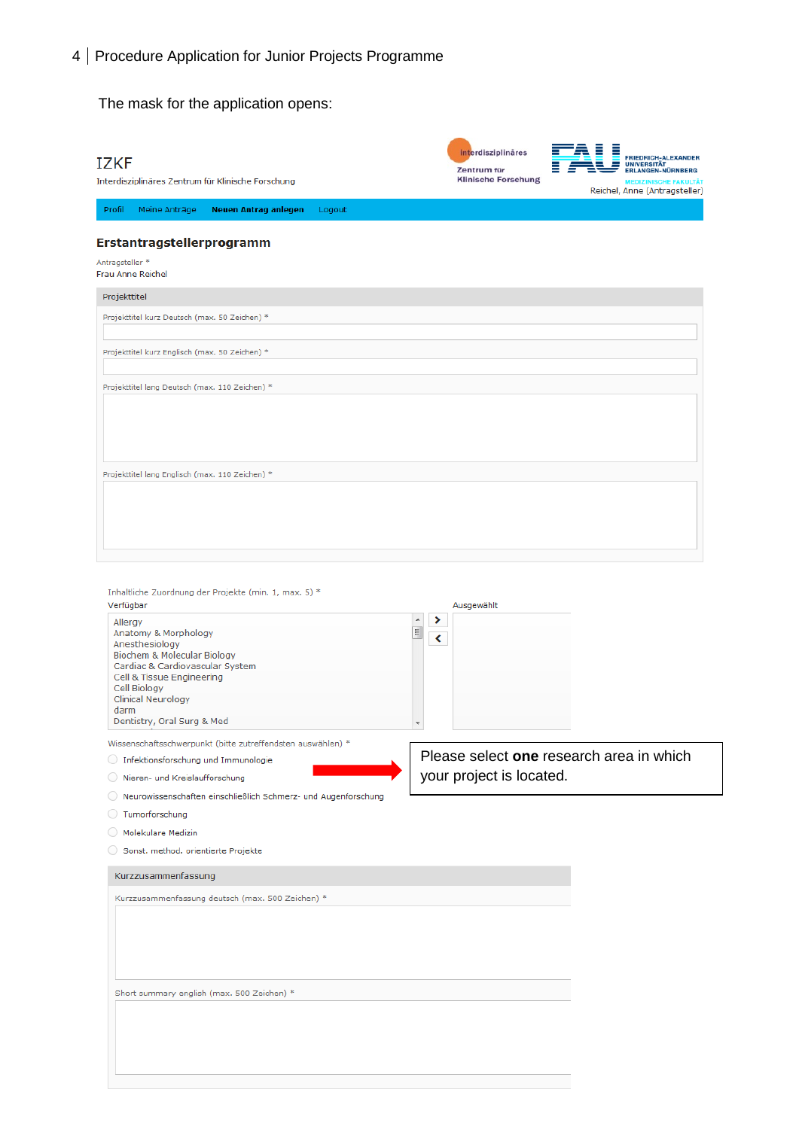The mask for the application opens:

| <b>IZKF</b><br>Interdisziplinäres Zentrum für Klinische Forschung                                                                                                                                                                                                                                                                                                                                                 | interdisziplinäres<br>FRIEDRICH-ALEXANDER<br>UNIVERSITÄT<br>Zentrum für<br>ERLANGEN-NÜRNBERG<br><b>Klinische Forschung</b><br><b>MEDIZINISCHE FAKULTÄT</b><br>Reichel, Anne (Antragsteller) |
|-------------------------------------------------------------------------------------------------------------------------------------------------------------------------------------------------------------------------------------------------------------------------------------------------------------------------------------------------------------------------------------------------------------------|---------------------------------------------------------------------------------------------------------------------------------------------------------------------------------------------|
| Profil<br>Meine Anträge<br>Neuen Antrag anlegen<br>Logout                                                                                                                                                                                                                                                                                                                                                         |                                                                                                                                                                                             |
| Erstantragstellerprogramm                                                                                                                                                                                                                                                                                                                                                                                         |                                                                                                                                                                                             |
| Antragsteller *<br>Frau Anne Reichel                                                                                                                                                                                                                                                                                                                                                                              |                                                                                                                                                                                             |
| Projekttitel                                                                                                                                                                                                                                                                                                                                                                                                      |                                                                                                                                                                                             |
| Projekttitel kurz Deutsch (max. 50 Zeichen) *                                                                                                                                                                                                                                                                                                                                                                     |                                                                                                                                                                                             |
| Projekttitel kurz Englisch (max. 50 Zeichen) *                                                                                                                                                                                                                                                                                                                                                                    |                                                                                                                                                                                             |
| Projekttitel lang Deutsch (max. 110 Zeichen) *                                                                                                                                                                                                                                                                                                                                                                    |                                                                                                                                                                                             |
|                                                                                                                                                                                                                                                                                                                                                                                                                   |                                                                                                                                                                                             |
| Projekttitel lang Englisch (max. 110 Zeichen) *                                                                                                                                                                                                                                                                                                                                                                   |                                                                                                                                                                                             |
|                                                                                                                                                                                                                                                                                                                                                                                                                   |                                                                                                                                                                                             |
| Inhaltliche Zuordnung der Projekte (min. 1, max. 5) *<br>Verfügbar<br>Allergy<br>Anatomy & Morphology<br>Anesthesiology<br>Biochem & Molecular Biology<br>Cardiac & Cardiovascular System<br>Cell & Tissue Engineering<br>Cell Biology<br><b>Clinical Neurology</b><br>darm<br>Dentistry, Oral Surg & Med<br>Wissenschaftsschwerpunkt (bitte zutreffendsten auswählen) *<br>◯ Infektionsforschung und Immunologie | Ausgewählt<br>i<br>E<br>K<br>Please select one research area in which                                                                                                                       |
| Nieren- und Kreislaufforschung                                                                                                                                                                                                                                                                                                                                                                                    | your project is located.                                                                                                                                                                    |
| Neurowissenschaften einschließlich Schmerz- und Augenforschung<br>Tumorforschung<br>Molekulare Medizin<br>Sonst. method. orientierte Projekte                                                                                                                                                                                                                                                                     |                                                                                                                                                                                             |
| Kurzzusammenfassung<br>Kurzzusammenfassung deutsch (max. 500 Zeichen) *<br>Short summary english (max. 500 Zeichen) *                                                                                                                                                                                                                                                                                             |                                                                                                                                                                                             |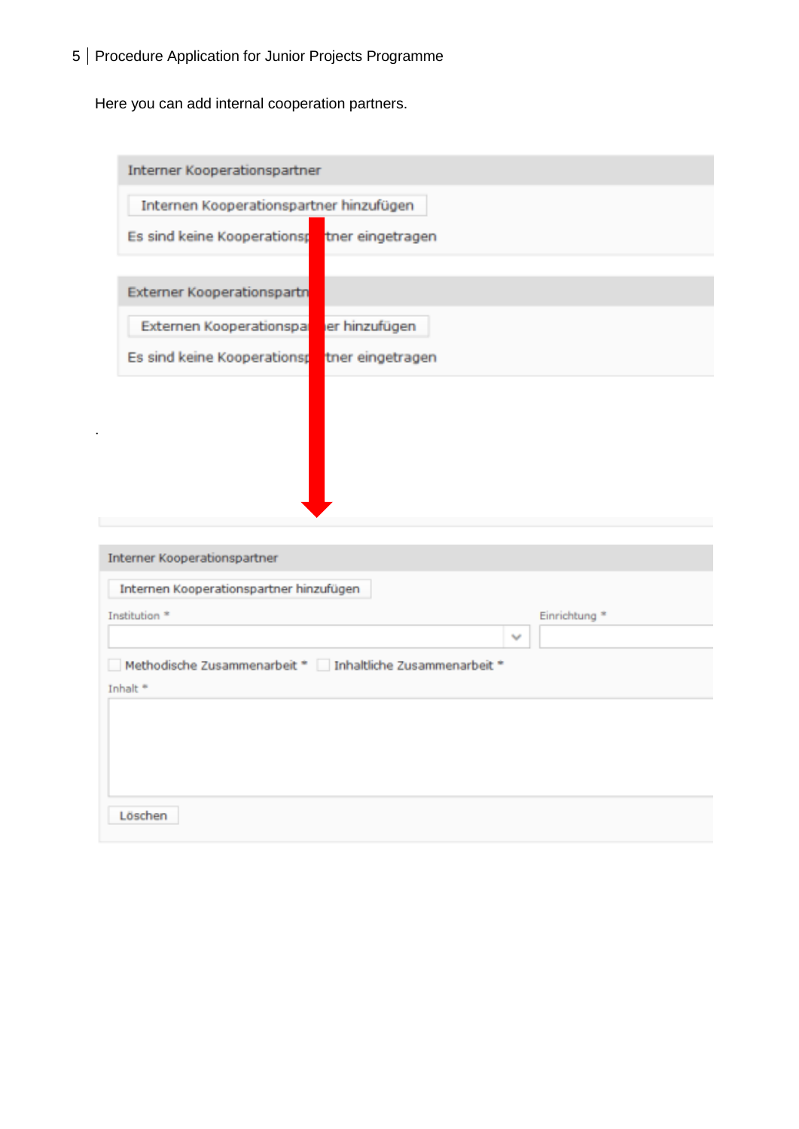Here you can add internal cooperation partners.

| Interner Kooperationspartner                              |                          |
|-----------------------------------------------------------|--------------------------|
| Internen Kooperationspartner hinzufügen                   |                          |
| Es sind keine Kooperationsp                               | tner eingetragen         |
| <b>Externer Kooperationspartn</b>                         |                          |
|                                                           |                          |
| Externen Kooperationspa<br>er hinzufügen                  |                          |
| Es sind keine Kooperationsp                               | tner eingetragen         |
|                                                           |                          |
|                                                           |                          |
|                                                           |                          |
|                                                           |                          |
|                                                           |                          |
| Interner Kooperationspartner                              |                          |
| Internen Kooperationspartner hinzufügen                   |                          |
| Institution <sup>*</sup>                                  | Einrichtung <sup>*</sup> |
|                                                           | $\overline{\phantom{a}}$ |
| Methodische Zusammenarbeit * Inhaltliche Zusammenarbeit * |                          |
| Inhalt <sup>®</sup>                                       |                          |
|                                                           |                          |
|                                                           |                          |
|                                                           |                          |
|                                                           |                          |
|                                                           |                          |
| Löschen                                                   |                          |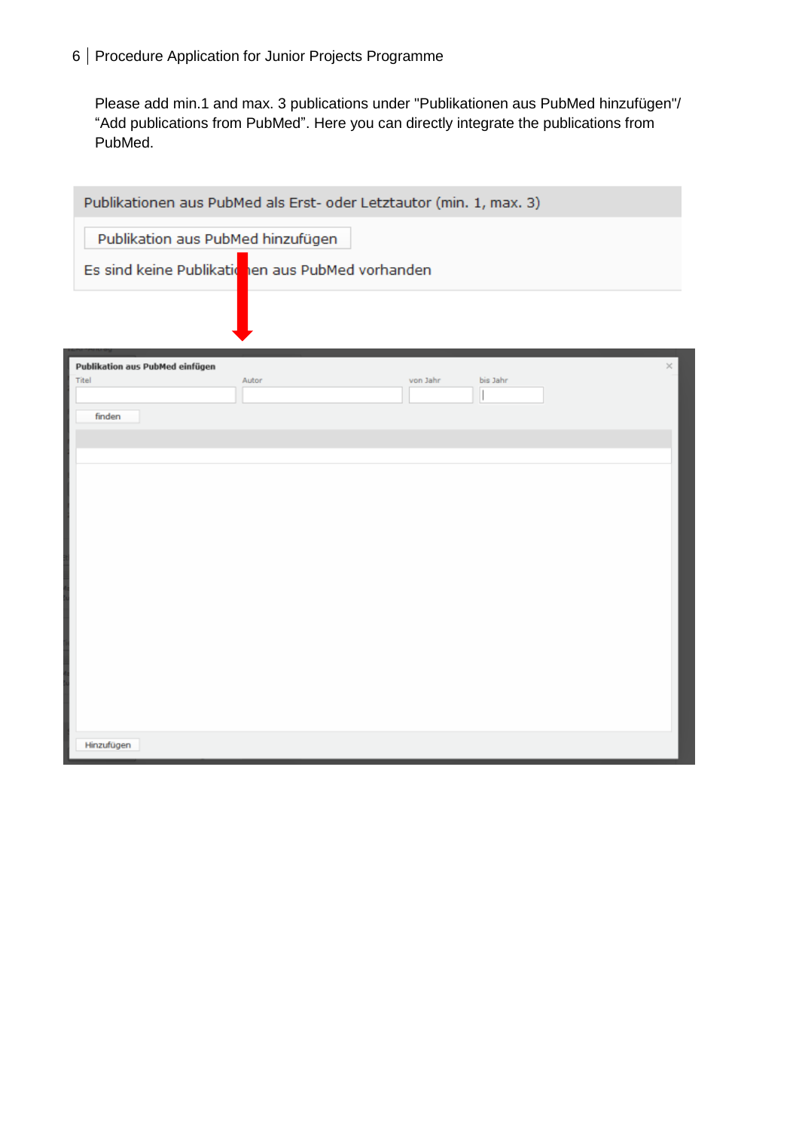Please add min.1 and max. 3 publications under "Publikationen aus PubMed hinzufügen"/ "Add publications from PubMed". Here you can directly integrate the publications from PubMed.

|                                          | Publikationen aus PubMed als Erst- oder Letztautor (min. 1, max. 3) |          |          |   |
|------------------------------------------|---------------------------------------------------------------------|----------|----------|---|
| Publikation aus PubMed hinzufügen        |                                                                     |          |          |   |
|                                          | Es sind keine Publikatichen aus PubMed vorhanden                    |          |          |   |
|                                          |                                                                     |          |          |   |
|                                          |                                                                     |          |          |   |
| Publikation aus PubMed einfügen<br>Titel | Autor                                                               | von Jahr | bis Jahr | × |
| finden                                   |                                                                     |          |          |   |
|                                          |                                                                     |          |          |   |
|                                          |                                                                     |          |          |   |
|                                          |                                                                     |          |          |   |
|                                          |                                                                     |          |          |   |
|                                          |                                                                     |          |          |   |
|                                          |                                                                     |          |          |   |
|                                          |                                                                     |          |          |   |
|                                          |                                                                     |          |          |   |
|                                          |                                                                     |          |          |   |
| Hinzufügen                               |                                                                     |          |          |   |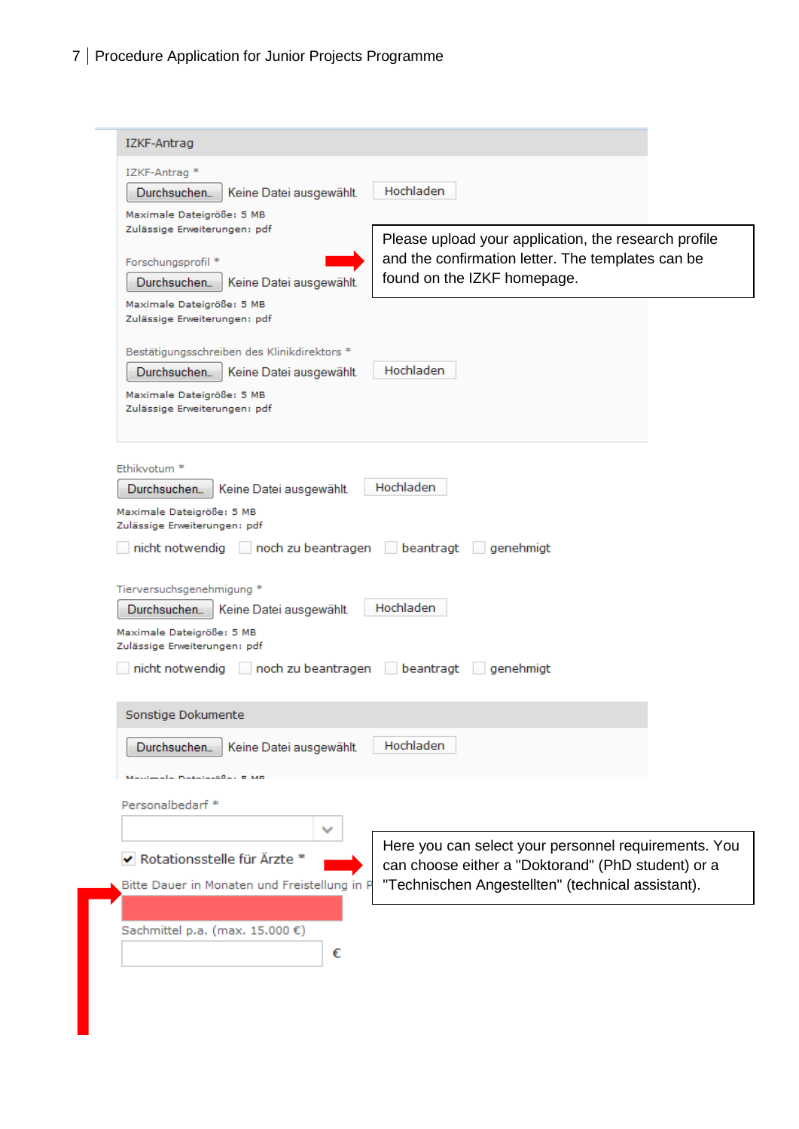| IZKF-Antrag *<br>Hochladen<br>Durchsuchen<br>Keine Datei ausgewählt.<br>Maximale Dateigröße: 5 MB<br>Zulässige Erweiterungen: pdf<br>Please upload your application, the research profile<br>and the confirmation letter. The templates can be<br>Forschungsprofil *<br>found on the IZKF homepage.<br>Durchsuchen<br>Keine Datei ausgewählt.<br>Maximale Dateigröße: 5 MB<br>Zulässige Erweiterungen: pdf<br>Bestätigungsschreiben des Klinikdirektors *<br>Hochladen<br>Keine Datei ausgewählt.<br>Durchsuchen<br>Maximale Dateigröße: 5 MB<br>Zulässige Erweiterungen: pdf<br>Ethikvotum <sup>*</sup><br>Hochladen<br>Durchsuchen<br>Keine Datei ausgewählt.<br>Maximale Dateigröße: 5 MB<br>Zulässige Erweiterungen: pdf<br>noch zu beantragen beantragt genehmigt<br>nicht notwendig<br>Tierversuchsgenehmigung *<br>Hochladen<br>Durchsuchen<br>Keine Datei ausgewählt.<br>Maximale Dateigröße: 5 MB<br>Zulässige Erweiterungen: pdf |  |
|--------------------------------------------------------------------------------------------------------------------------------------------------------------------------------------------------------------------------------------------------------------------------------------------------------------------------------------------------------------------------------------------------------------------------------------------------------------------------------------------------------------------------------------------------------------------------------------------------------------------------------------------------------------------------------------------------------------------------------------------------------------------------------------------------------------------------------------------------------------------------------------------------------------------------------------------|--|
|                                                                                                                                                                                                                                                                                                                                                                                                                                                                                                                                                                                                                                                                                                                                                                                                                                                                                                                                            |  |
|                                                                                                                                                                                                                                                                                                                                                                                                                                                                                                                                                                                                                                                                                                                                                                                                                                                                                                                                            |  |
|                                                                                                                                                                                                                                                                                                                                                                                                                                                                                                                                                                                                                                                                                                                                                                                                                                                                                                                                            |  |
|                                                                                                                                                                                                                                                                                                                                                                                                                                                                                                                                                                                                                                                                                                                                                                                                                                                                                                                                            |  |
|                                                                                                                                                                                                                                                                                                                                                                                                                                                                                                                                                                                                                                                                                                                                                                                                                                                                                                                                            |  |
|                                                                                                                                                                                                                                                                                                                                                                                                                                                                                                                                                                                                                                                                                                                                                                                                                                                                                                                                            |  |
|                                                                                                                                                                                                                                                                                                                                                                                                                                                                                                                                                                                                                                                                                                                                                                                                                                                                                                                                            |  |
|                                                                                                                                                                                                                                                                                                                                                                                                                                                                                                                                                                                                                                                                                                                                                                                                                                                                                                                                            |  |
|                                                                                                                                                                                                                                                                                                                                                                                                                                                                                                                                                                                                                                                                                                                                                                                                                                                                                                                                            |  |
|                                                                                                                                                                                                                                                                                                                                                                                                                                                                                                                                                                                                                                                                                                                                                                                                                                                                                                                                            |  |
|                                                                                                                                                                                                                                                                                                                                                                                                                                                                                                                                                                                                                                                                                                                                                                                                                                                                                                                                            |  |
|                                                                                                                                                                                                                                                                                                                                                                                                                                                                                                                                                                                                                                                                                                                                                                                                                                                                                                                                            |  |
| nicht notwendig noch zu beantragen beantragt genehmigt                                                                                                                                                                                                                                                                                                                                                                                                                                                                                                                                                                                                                                                                                                                                                                                                                                                                                     |  |
|                                                                                                                                                                                                                                                                                                                                                                                                                                                                                                                                                                                                                                                                                                                                                                                                                                                                                                                                            |  |
| Sonstige Dokumente                                                                                                                                                                                                                                                                                                                                                                                                                                                                                                                                                                                                                                                                                                                                                                                                                                                                                                                         |  |
| Hochladen<br>Durchsuchen<br>Keine Datei ausgewählt.                                                                                                                                                                                                                                                                                                                                                                                                                                                                                                                                                                                                                                                                                                                                                                                                                                                                                        |  |
| sla Dataiarëßa: 5 MB                                                                                                                                                                                                                                                                                                                                                                                                                                                                                                                                                                                                                                                                                                                                                                                                                                                                                                                       |  |
| Personalbedarf*                                                                                                                                                                                                                                                                                                                                                                                                                                                                                                                                                                                                                                                                                                                                                                                                                                                                                                                            |  |
| ▽                                                                                                                                                                                                                                                                                                                                                                                                                                                                                                                                                                                                                                                                                                                                                                                                                                                                                                                                          |  |
| Here you can select your personnel requirements. You<br>◆ Rotationsstelle für Ärzte *<br>can choose either a "Doktorand" (PhD student) or a                                                                                                                                                                                                                                                                                                                                                                                                                                                                                                                                                                                                                                                                                                                                                                                                |  |
| "Technischen Angestellten" (technical assistant).<br>Bitte Dauer in Monaten und Freistellung in P                                                                                                                                                                                                                                                                                                                                                                                                                                                                                                                                                                                                                                                                                                                                                                                                                                          |  |
| Sachmittel p.a. (max. 15.000 €)                                                                                                                                                                                                                                                                                                                                                                                                                                                                                                                                                                                                                                                                                                                                                                                                                                                                                                            |  |
| €                                                                                                                                                                                                                                                                                                                                                                                                                                                                                                                                                                                                                                                                                                                                                                                                                                                                                                                                          |  |
|                                                                                                                                                                                                                                                                                                                                                                                                                                                                                                                                                                                                                                                                                                                                                                                                                                                                                                                                            |  |